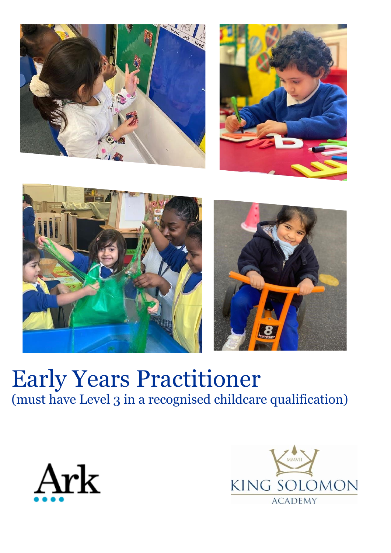







# Early Years Practitioner (must have Level 3 in a recognised childcare qualification)



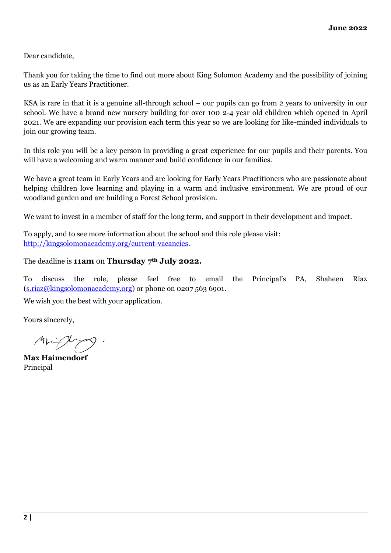Dear candidate,

Thank you for taking the time to find out more about King Solomon Academy and the possibility of joining us as an Early Years Practitioner.

KSA is rare in that it is a genuine all-through school – our pupils can go from 2 years to university in our school. We have a brand new nursery building for over 100 2-4 year old children which opened in April 2021. We are expanding our provision each term this year so we are looking for like-minded individuals to join our growing team.

In this role you will be a key person in providing a great experience for our pupils and their parents. You will have a welcoming and warm manner and build confidence in our families.

We have a great team in Early Years and are looking for Early Years Practitioners who are passionate about helping children love learning and playing in a warm and inclusive environment. We are proud of our woodland garden and are building a Forest School provision.

We want to invest in a member of staff for the long term, and support in their development and impact.

To apply, and to see more information about the school and this role please visit: [http://kingsolomonacademy.org/current-vacancies.](http://kingsolomonacademy.org/current-vacancies)

#### The deadline is **11am** on **Thursday 7th July 2022.**

To discuss the role, please feel free to email the Principal's PA, Shaheen Riaz [\(s.riaz@kingsolomonacademy.org\)](mailto:s.riaz@kingsolomonacademy.org) or phone on 0207 563 6901.

We wish you the best with your application.

Yours sincerely,

**Max Haimendorf** Principal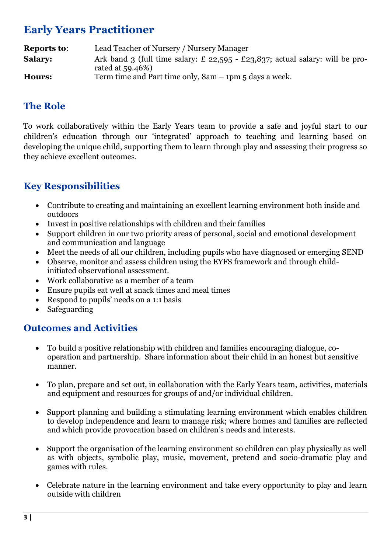# **Early Years Practitioner**

| <b>Reports to:</b> | Lead Teacher of Nursery / Nursery Manager                                                                              |
|--------------------|------------------------------------------------------------------------------------------------------------------------|
| <b>Salary:</b>     | Ark band 3 (full time salary: $\pounds$ 22,595 - $\pounds$ 23,837; actual salary: will be pro-<br>rated at $59.46\%$ ) |
| <b>Hours:</b>      | Term time and Part time only, $8am - 1pm 5$ days a week.                                                               |

# **The Role**

To work collaboratively within the Early Years team to provide a safe and joyful start to our children's education through our 'integrated' approach to teaching and learning based on developing the unique child, supporting them to learn through play and assessing their progress so they achieve excellent outcomes.

# **Key Responsibilities**

- Contribute to creating and maintaining an excellent learning environment both inside and outdoors
- Invest in positive relationships with children and their families
- Support children in our two priority areas of personal, social and emotional development and communication and language
- Meet the needs of all our children, including pupils who have diagnosed or emerging SEND
- Observe, monitor and assess children using the EYFS framework and through childinitiated observational assessment.
- Work collaborative as a member of a team
- Ensure pupils eat well at snack times and meal times
- Respond to pupils' needs on a 1:1 basis
- Safeguarding

# **Outcomes and Activities**

- To build a positive relationship with children and families encouraging dialogue, cooperation and partnership. Share information about their child in an honest but sensitive manner.
- To plan, prepare and set out, in collaboration with the Early Years team, activities, materials and equipment and resources for groups of and/or individual children.
- Support planning and building a stimulating learning environment which enables children to develop independence and learn to manage risk; where homes and families are reflected and which provide provocation based on children's needs and interests.
- Support the organisation of the learning environment so children can play physically as well as with objects, symbolic play, music, movement, pretend and socio-dramatic play and games with rules.
- Celebrate nature in the learning environment and take every opportunity to play and learn outside with children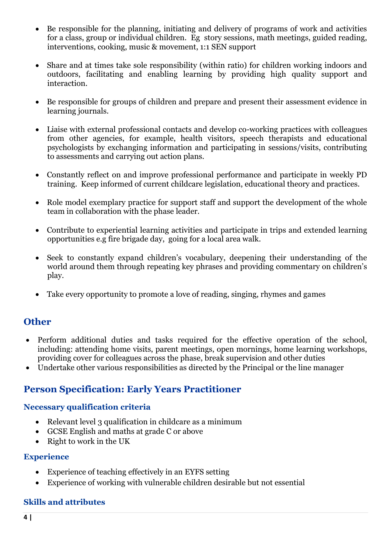- Be responsible for the planning, initiating and delivery of programs of work and activities for a class, group or individual children. Eg story sessions, math meetings, guided reading, interventions, cooking, music & movement, 1:1 SEN support
- Share and at times take sole responsibility (within ratio) for children working indoors and outdoors, facilitating and enabling learning by providing high quality support and interaction.
- Be responsible for groups of children and prepare and present their assessment evidence in learning journals.
- Liaise with external professional contacts and develop co-working practices with colleagues from other agencies, for example, health visitors, speech therapists and educational psychologists by exchanging information and participating in sessions/visits, contributing to assessments and carrying out action plans.
- Constantly reflect on and improve professional performance and participate in weekly PD training. Keep informed of current childcare legislation, educational theory and practices.
- Role model exemplary practice for support staff and support the development of the whole team in collaboration with the phase leader.
- Contribute to experiential learning activities and participate in trips and extended learning opportunities e.g fire brigade day, going for a local area walk.
- Seek to constantly expand children's vocabulary, deepening their understanding of the world around them through repeating key phrases and providing commentary on children's play.
- Take every opportunity to promote a love of reading, singing, rhymes and games

## **Other**

- Perform additional duties and tasks required for the effective operation of the school, including: attending home visits, parent meetings, open mornings, home learning workshops, providing cover for colleagues across the phase, break supervision and other duties
- Undertake other various responsibilities as directed by the Principal or the line manager

# **Person Specification: Early Years Practitioner**

#### **Necessary qualification criteria**

- Relevant level 3 qualification in childcare as a minimum
- GCSE English and maths at grade C or above
- Right to work in the UK

#### **Experience**

- Experience of teaching effectively in an EYFS setting
- Experience of working with vulnerable children desirable but not essential

#### **Skills and attributes**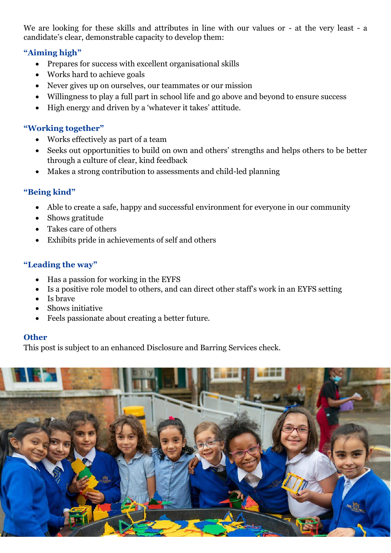We are looking for these skills and attributes in line with our values or - at the very least - a candidate's clear, demonstrable capacity to develop them:

#### **"Aiming high"**

- Prepares for success with excellent organisational skills
- Works hard to achieve goals
- Never gives up on ourselves, our teammates or our mission
- Willingness to play a full part in school life and go above and beyond to ensure success
- High energy and driven by a 'whatever it takes' attitude.

#### **"Working together"**

- Works effectively as part of a team
- Seeks out opportunities to build on own and others' strengths and helps others to be better through a culture of clear, kind feedback
- Makes a strong contribution to assessments and child-led planning

#### **"Being kind"**

- Able to create a safe, happy and successful environment for everyone in our community
- Shows gratitude
- Takes care of others
- Exhibits pride in achievements of self and others

#### **"Leading the way"**

- Has a passion for working in the EYFS
- Is a positive role model to others, and can direct other staff's work in an EYFS setting
- Is brave
- Shows initiative
- Feels passionate about creating a better future.

#### **Other**

This post is subject to an enhanced Disclosure and Barring Services check.

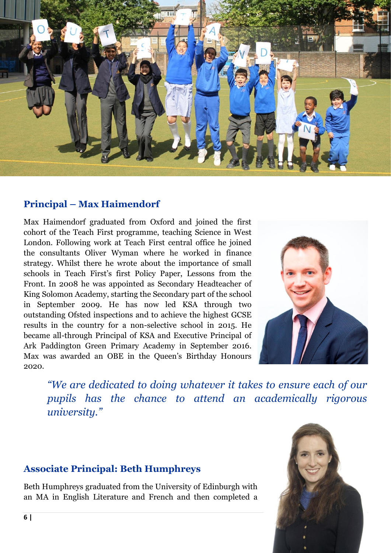

# **Principal – Max Haimendorf**

Max Haimendorf graduated from Oxford and joined the first cohort of the Teach First programme, teaching Science in West London. Following work at Teach First central office he joined the consultants Oliver Wyman where he worked in finance strategy. Whilst there he wrote about the importance of small schools in Teach First's first Policy Paper, Lessons from the Front. In 2008 he was appointed as Secondary Headteacher of King Solomon Academy, starting the Secondary part of the school in September 2009. He has now led KSA through two outstanding Ofsted inspections and to achieve the highest GCSE results in the country for a non-selective school in 2015. He became all-through Principal of KSA and Executive Principal of Ark Paddington Green Primary Academy in September 2016. Max was awarded an OBE in the Queen's Birthday Honours 2020.



*"We are dedicated to doing whatever it takes to ensure each of our pupils has the chance to attend an academically rigorous university."*

## **Associate Principal: Beth Humphreys**

Beth Humphreys graduated from the University of Edinburgh with an MA in English Literature and French and then completed a

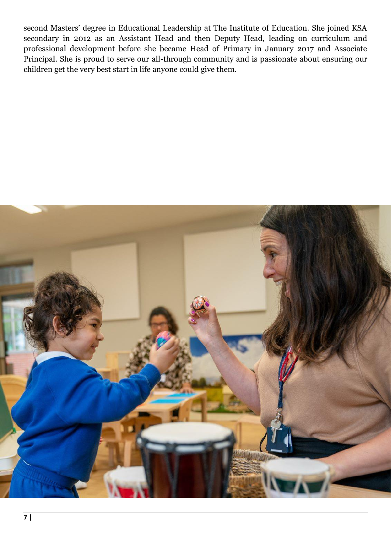second Masters' degree in Educational Leadership at The Institute of Education. She joined KSA secondary in 2012 as an Assistant Head and then Deputy Head, leading on curriculum and professional development before she became Head of Primary in January 2017 and Associate Principal. She is proud to serve our all-through community and is passionate about ensuring our children get the very best start in life anyone could give them.

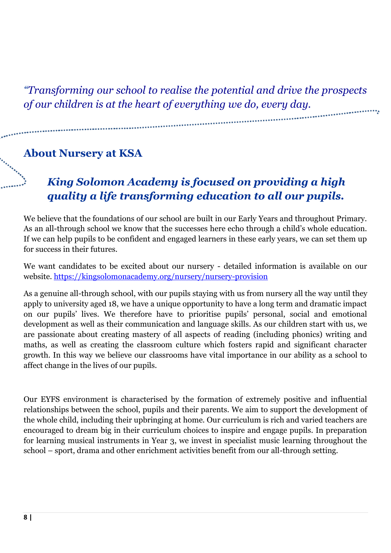*"Transforming our school to realise the potential and drive the prospects of our children is at the heart of everything we do, every day.*

**About Nursery at KSA**

# *King Solomon Academy is focused on providing a high quality a life transforming education to all our pupils.*

We believe that the foundations of our school are built in our Early Years and throughout Primary. As an all-through school we know that the successes here echo through a child's whole education. If we can help pupils to be confident and engaged learners in these early years, we can set them up for success in their futures.

We want candidates to be excited about our nursery - detailed information is available on our website.<https://kingsolomonacademy.org/nursery/nursery-provision>

As a genuine all-through school, with our pupils staying with us from nursery all the way until they apply to university aged 18, we have a unique opportunity to have a long term and dramatic impact on our pupils' lives. We therefore have to prioritise pupils' personal, social and emotional development as well as their communication and language skills. As our children start with us, we are passionate about creating mastery of all aspects of reading (including phonics) writing and maths, as well as creating the classroom culture which fosters rapid and significant character growth. In this way we believe our classrooms have vital importance in our ability as a school to affect change in the lives of our pupils.

Our EYFS environment is characterised by the formation of extremely positive and influential relationships between the school, pupils and their parents. We aim to support the development of the whole child, including their upbringing at home. Our curriculum is rich and varied teachers are encouraged to dream big in their curriculum choices to inspire and engage pupils. In preparation for learning musical instruments in Year 3, we invest in specialist music learning throughout the school – sport, drama and other enrichment activities benefit from our all-through setting.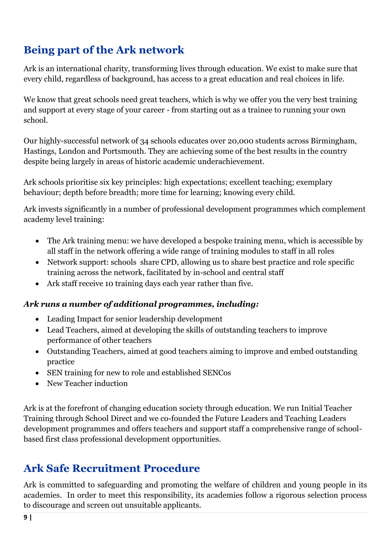# **Being part of the Ark network**

Ark is an international charity, transforming lives through education. We exist to make sure that every child, regardless of background, has access to a great education and real choices in life.

We know that great schools need great teachers, which is why we offer you the very best training and support at every stage of your career - from starting out as a trainee to running your own school.

Our highly-successful network of 34 schools educates over 20,000 students across Birmingham, Hastings, London and Portsmouth. They are achieving some of the best results in the country despite being largely in areas of historic academic underachievement.

Ark schools prioritise six key principles: high expectations; excellent teaching; exemplary behaviour; depth before breadth; more time for learning; knowing every child.

Ark invests significantly in a number of professional development programmes which complement academy level training:

- The Ark training menu: we have developed a bespoke training menu, which is accessible by all staff in the network offering a wide range of training modules to staff in all roles
- Network support: schools share CPD, allowing us to share best practice and role specific training across the network, facilitated by in-school and central staff
- Ark staff receive 10 training days each year rather than five.

#### *Ark runs a number of additional programmes, including:*

- Leading Impact for senior leadership development
- Lead Teachers, aimed at developing the skills of outstanding teachers to improve performance of other teachers
- Outstanding Teachers, aimed at good teachers aiming to improve and embed outstanding practice
- SEN training for new to role and established SENCos
- New Teacher induction

Ark is at the forefront of changing education society through education. We run Initial Teacher Training through School Direct and we co-founded the Future Leaders and Teaching Leaders development programmes and offers teachers and support staff a comprehensive range of schoolbased first class professional development opportunities.

# **Ark Safe Recruitment Procedure**

Ark is committed to safeguarding and promoting the welfare of children and young people in its academies. In order to meet this responsibility, its academies follow a rigorous selection process to discourage and screen out unsuitable applicants.